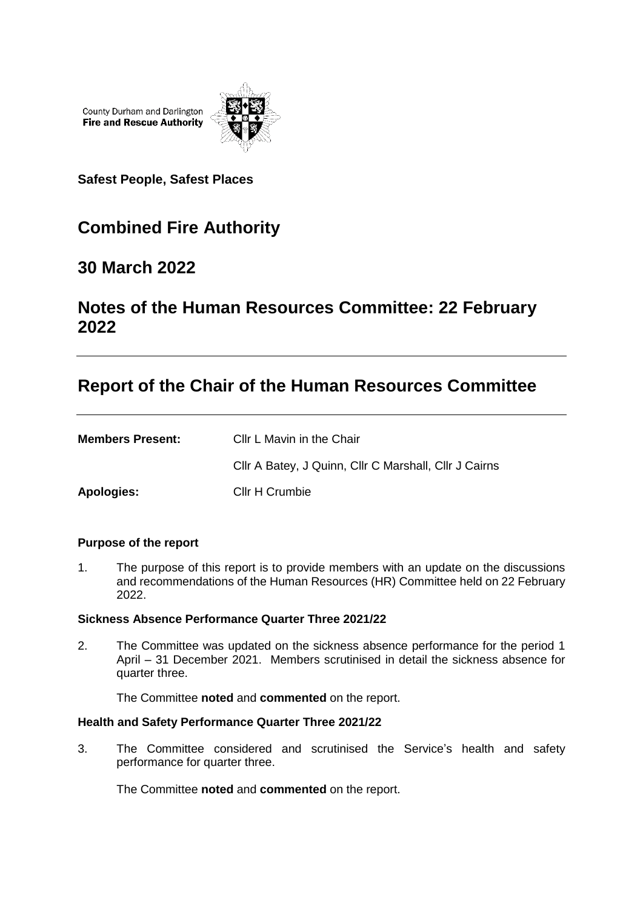County Durham and Darlington **Fire and Rescue Authority** 



**Safest People, Safest Places**

# **Combined Fire Authority**

### **30 March 2022**

## **Notes of the Human Resources Committee: 22 February 2022**

### **Report of the Chair of the Human Resources Committee**

| <b>Members Present:</b> | Cllr L Mavin in the Chair                             |
|-------------------------|-------------------------------------------------------|
|                         | Cllr A Batey, J Quinn, Cllr C Marshall, Cllr J Cairns |
| Apologies:              | Cllr H Crumbie                                        |

#### **Purpose of the report**

1. The purpose of this report is to provide members with an update on the discussions and recommendations of the Human Resources (HR) Committee held on 22 February 2022.

#### **Sickness Absence Performance Quarter Three 2021/22**

2. The Committee was updated on the sickness absence performance for the period 1 April – 31 December 2021. Members scrutinised in detail the sickness absence for quarter three.

The Committee **noted** and **commented** on the report.

#### **Health and Safety Performance Quarter Three 2021/22**

3. The Committee considered and scrutinised the Service's health and safety performance for quarter three.

The Committee **noted** and **commented** on the report.